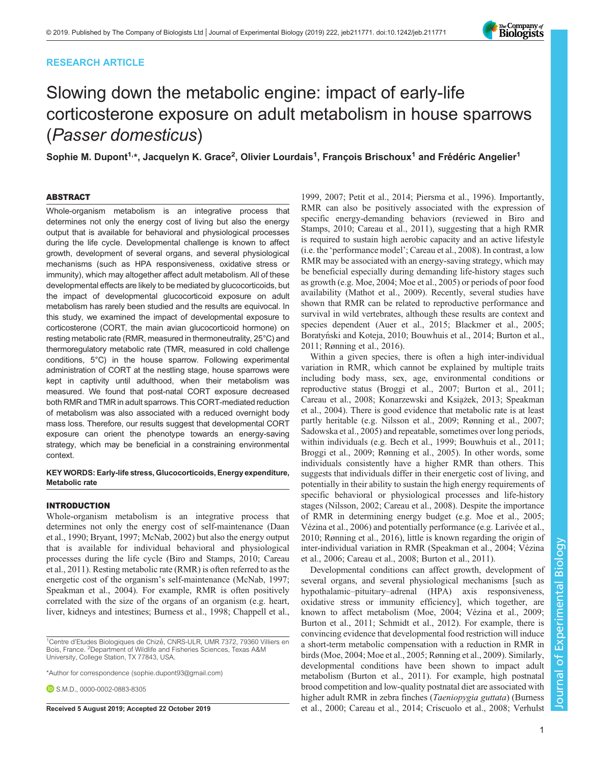# RESEARCH ARTICLE



# Slowing down the metabolic engine: impact of early-life corticosterone exposure on adult metabolism in house sparrows (Passer domesticus)

Sophie M. Dupont $^{1,\ast}$ , Jacquelyn K. Grace<sup>2</sup>, Olivier Lourdais $^{1}$ , François Brischoux $^{1}$  and Frédéric Angelier $^{1}$ 

## ABSTRACT

Whole-organism metabolism is an integrative process that determines not only the energy cost of living but also the energy output that is available for behavioral and physiological processes during the life cycle. Developmental challenge is known to affect growth, development of several organs, and several physiological mechanisms (such as HPA responsiveness, oxidative stress or immunity), which may altogether affect adult metabolism. All of these developmental effects are likely to be mediated by glucocorticoids, but the impact of developmental glucocorticoid exposure on adult metabolism has rarely been studied and the results are equivocal. In this study, we examined the impact of developmental exposure to corticosterone (CORT, the main avian glucocorticoid hormone) on resting metabolic rate (RMR, measured in thermoneutrality, 25°C) and thermoregulatory metabolic rate (TMR, measured in cold challenge conditions, 5°C) in the house sparrow. Following experimental administration of CORT at the nestling stage, house sparrows were kept in captivity until adulthood, when their metabolism was measured. We found that post-natal CORT exposure decreased both RMR and TMR in adult sparrows. This CORT-mediated reduction of metabolism was also associated with a reduced overnight body mass loss. Therefore, our results suggest that developmental CORT exposure can orient the phenotype towards an energy-saving strategy, which may be beneficial in a constraining environmental context.

### KEY WORDS: Early-life stress, Glucocorticoids, Energy expenditure, Metabolic rate

## INTRODUCTION

Whole-organism metabolism is an integrative process that determines not only the energy cost of self-maintenance [\(Daan](#page-7-0) [et al., 1990](#page-7-0); [Bryant, 1997;](#page-6-0) [McNab, 2002\)](#page-7-0) but also the energy output that is available for individual behavioral and physiological processes during the life cycle [\(Biro and Stamps, 2010;](#page-6-0) [Careau](#page-7-0) [et al., 2011\)](#page-7-0). Resting metabolic rate (RMR) is often referred to as the energetic cost of the organism's self-maintenance ([McNab, 1997](#page-7-0); [Speakman et al., 2004\)](#page-8-0). For example, RMR is often positively correlated with the size of the organs of an organism (e.g. heart, liver, kidneys and intestines; [Burness et al., 1998](#page-6-0); [Chappell et al.,](#page-7-0)

[1999, 2007;](#page-7-0) [Petit et al., 2014; Piersma et al., 1996\)](#page-8-0). Importantly, RMR can also be positively associated with the expression of specific energy-demanding behaviors (reviewed in [Biro and](#page-6-0) [Stamps, 2010;](#page-6-0) [Careau et al., 2011\)](#page-7-0), suggesting that a high RMR is required to sustain high aerobic capacity and an active lifestyle (i.e. the 'performance model'; [Careau et al., 2008\)](#page-7-0). In contrast, a low RMR may be associated with an energy-saving strategy, which may be beneficial especially during demanding life-history stages such as growth (e.g. [Moe, 2004](#page-7-0); [Moe et al., 2005\)](#page-7-0) or periods of poor food availability [\(Mathot et al., 2009](#page-7-0)). Recently, several studies have shown that RMR can be related to reproductive performance and survival in wild vertebrates, although these results are context and species dependent [\(Auer et al., 2015](#page-6-0); [Blackmer et al., 2005](#page-6-0); Boratyń[ski and Koteja, 2010; Bouwhuis et al., 2014](#page-6-0); [Burton et al.,](#page-7-0) [2011;](#page-7-0) [Rønning et al., 2016](#page-8-0)).

Within a given species, there is often a high inter-individual variation in RMR, which cannot be explained by multiple traits including body mass, sex, age, environmental conditions or reproductive status ([Broggi et al., 2007;](#page-6-0) [Burton et al., 2011](#page-7-0); Careau et al., 2008; Konarzewski and Książek, 2013; [Speakman](#page-8-0) [et al., 2004](#page-8-0)). There is good evidence that metabolic rate is at least partly heritable (e.g. [Nilsson et al., 2009](#page-8-0); [Rønning et al., 2007](#page-8-0); [Sadowska et al., 2005\)](#page-8-0) and repeatable, sometimes over long periods, within individuals (e.g. [Bech et al., 1999](#page-6-0); [Bouwhuis et al., 2011](#page-6-0); [Broggi et al., 2009;](#page-6-0) [Rønning et al., 2005](#page-8-0)). In other words, some individuals consistently have a higher RMR than others. This suggests that individuals differ in their energetic cost of living, and potentially in their ability to sustain the high energy requirements of specific behavioral or physiological processes and life-history stages [\(Nilsson, 2002;](#page-8-0) [Careau et al., 2008\)](#page-7-0). Despite the importance of RMR in determining energy budget (e.g. [Moe et al., 2005](#page-7-0); [Vézina et al., 2006\)](#page-8-0) and potentially performance (e.g. [Larivée et al.,](#page-7-0) [2010;](#page-7-0) [Rønning et al., 2016\)](#page-8-0), little is known regarding the origin of inter-individual variation in RMR ([Speakman et al., 2004; Vézina](#page-8-0) [et al., 2006;](#page-8-0) [Careau et al., 2008; Burton et al., 2011](#page-7-0)).

Developmental conditions can affect growth, development of several organs, and several physiological mechanisms [such as hypothalamic–pituitary–adrenal (HPA) axis responsiveness, oxidative stress or immunity efficiency], which together, are known to affect metabolism [\(Moe, 2004;](#page-7-0) [Vézina et al., 2009](#page-8-0); [Burton et al., 2011](#page-7-0); [Schmidt et al., 2012](#page-8-0)). For example, there is convincing evidence that developmental food restriction will induce a short-term metabolic compensation with a reduction in RMR in birds ([Moe, 2004](#page-7-0); [Moe et al., 2005](#page-7-0); [Rønning et al., 2009\)](#page-8-0). Similarly, developmental conditions have been shown to impact adult metabolism ([Burton et al., 2011\)](#page-7-0). For example, high postnatal brood competition and low-quality postnatal diet are associated with higher adult RMR in zebra finches (Taeniopygia guttata) ([Burness](#page-6-0) Received 5 August 2019; Accepted 22 October 2019 [et al., 2000](#page-6-0); [Careau et al., 2014; Criscuolo et al., 2008](#page-7-0); [Verhulst](#page-8-0)

<sup>&</sup>lt;sup>1</sup>Centre d'Etudes Biologiques de Chizé, CNRS-ULR, UMR 7372, 79360 Villiers en Bois, France. <sup>2</sup>Department of Wildlife and Fisheries Sciences, Texas A&M University, College Station, TX 77843, USA.

<sup>\*</sup>Author for correspondence [\(sophie.dupont93@gmail.com\)](mailto:sophie.dupont93@gmail.com)

**D.S.M.D., [0000-0002-0883-8305](http://orcid.org/0000-0002-0883-8305)**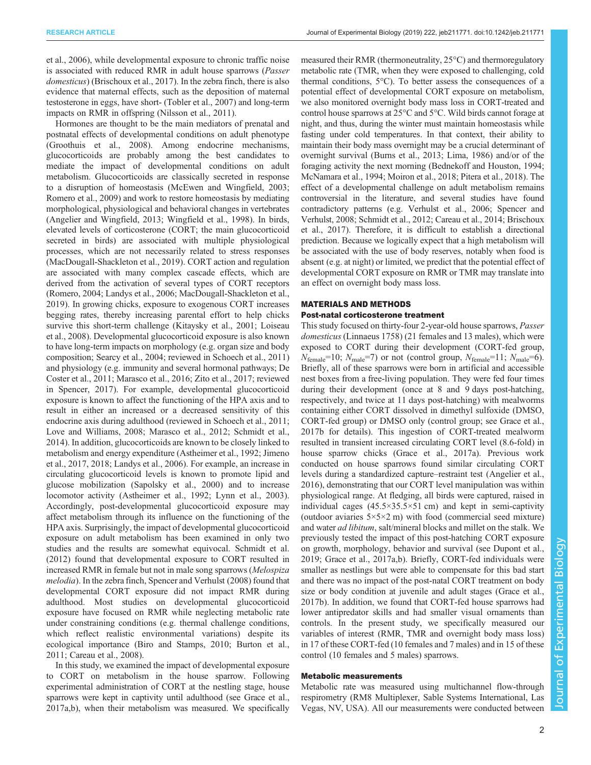[et al., 2006](#page-8-0)), while developmental exposure to chronic traffic noise is associated with reduced RMR in adult house sparrows (Passer domesticus) ([Brischoux et al., 2017\)](#page-6-0). In the zebra finch, there is also evidence that maternal effects, such as the deposition of maternal testosterone in eggs, have short- ([Tobler et al., 2007\)](#page-8-0) and long-term impacts on RMR in offspring ([Nilsson et al., 2011\)](#page-8-0).

Hormones are thought to be the main mediators of prenatal and postnatal effects of developmental conditions on adult phenotype [\(Groothuis et al., 2008\)](#page-7-0). Among endocrine mechanisms, glucocorticoids are probably among the best candidates to mediate the impact of developmental conditions on adult metabolism. Glucocorticoids are classically secreted in response to a disruption of homeostasis ([McEwen and Wingfield, 2003](#page-7-0); [Romero et al., 2009](#page-8-0)) and work to restore homeostasis by mediating morphological, physiological and behavioral changes in vertebrates [\(Angelier and Wingfield, 2013](#page-6-0); [Wingfield et al., 1998\)](#page-8-0). In birds, elevated levels of corticosterone (CORT; the main glucocorticoid secreted in birds) are associated with multiple physiological processes, which are not necessarily related to stress responses [\(MacDougall-Shackleton et al., 2019\)](#page-7-0). CORT action and regulation are associated with many complex cascade effects, which are derived from the activation of several types of CORT receptors [\(Romero, 2004;](#page-8-0) [Landys et al., 2006; MacDougall-Shackleton et al.,](#page-7-0) [2019](#page-7-0)). In growing chicks, exposure to exogenous CORT increases begging rates, thereby increasing parental effort to help chicks survive this short-term challenge [\(Kitaysky et al., 2001; Loiseau](#page-7-0) [et al., 2008](#page-7-0)). Developmental glucocorticoid exposure is also known to have long-term impacts on morphology (e.g. organ size and body composition; [Searcy et al., 2004](#page-8-0); reviewed in [Schoech et al., 2011\)](#page-8-0) and physiology (e.g. immunity and several hormonal pathways; [De](#page-7-0) [Coster et al., 2011; Marasco et al., 2016;](#page-7-0) [Zito et al., 2017](#page-8-0); reviewed in [Spencer, 2017](#page-8-0)). For example, developmental glucocorticoid exposure is known to affect the functioning of the HPA axis and to result in either an increased or a decreased sensitivity of this endocrine axis during adulthood (reviewed in [Schoech et al., 2011](#page-8-0); [Love and Williams, 2008](#page-7-0); [Marasco et al., 2012;](#page-7-0) [Schmidt et al.,](#page-8-0) [2014](#page-8-0)). In addition, glucocorticoids are known to be closely linked to metabolism and energy expenditure [\(Astheimer et al., 1992](#page-6-0); [Jimeno](#page-7-0) [et al., 2017, 2018](#page-7-0); [Landys et al., 2006\)](#page-7-0). For example, an increase in circulating glucocorticoid levels is known to promote lipid and glucose mobilization ([Sapolsky et al., 2000\)](#page-8-0) and to increase locomotor activity ([Astheimer et al., 1992](#page-6-0); [Lynn et al., 2003\)](#page-7-0). Accordingly, post-developmental glucocorticoid exposure may affect metabolism through its influence on the functioning of the HPA axis. Surprisingly, the impact of developmental glucocorticoid exposure on adult metabolism has been examined in only two studies and the results are somewhat equivocal. [Schmidt et al.](#page-8-0) [\(2012\)](#page-8-0) found that developmental exposure to CORT resulted in increased RMR in female but not in male song sparrows (Melospiza melodia). In the zebra finch, [Spencer and Verhulst \(2008\)](#page-8-0) found that developmental CORT exposure did not impact RMR during adulthood. Most studies on developmental glucocorticoid exposure have focused on RMR while neglecting metabolic rate under constraining conditions (e.g. thermal challenge conditions, which reflect realistic environmental variations) despite its ecological importance [\(Biro and Stamps, 2010](#page-6-0); [Burton et al.,](#page-7-0) [2011](#page-7-0); [Careau et al., 2008\)](#page-7-0).

In this study, we examined the impact of developmental exposure to CORT on metabolism in the house sparrow. Following experimental administration of CORT at the nestling stage, house sparrows were kept in captivity until adulthood (see [Grace et al.,](#page-7-0) [2017a,b](#page-7-0)), when their metabolism was measured. We specifically

measured their RMR (thermoneutrality, 25°C) and thermoregulatory metabolic rate (TMR, when they were exposed to challenging, cold thermal conditions, 5°C). To better assess the consequences of a potential effect of developmental CORT exposure on metabolism, we also monitored overnight body mass loss in CORT-treated and control house sparrows at 25°C and 5°C. Wild birds cannot forage at night, and thus, during the winter must maintain homeostasis while fasting under cold temperatures. In that context, their ability to maintain their body mass overnight may be a crucial determinant of overnight survival [\(Burns et al., 2013](#page-7-0); [Lima, 1986\)](#page-7-0) and/or of the foraging activity the next morning [\(Bednekoff and Houston, 1994](#page-6-0); [McNamara et al., 1994](#page-7-0); [Moiron et al., 2018;](#page-7-0) [Pitera et al., 2018\)](#page-8-0). The effect of a developmental challenge on adult metabolism remains controversial in the literature, and several studies have found contradictory patterns (e.g. [Verhulst et al., 2006](#page-8-0); [Spencer and](#page-8-0) [Verhulst, 2008](#page-8-0); [Schmidt et al., 2012](#page-8-0); [Careau et al., 2014;](#page-7-0) [Brischoux](#page-6-0) [et al., 2017](#page-6-0)). Therefore, it is difficult to establish a directional prediction. Because we logically expect that a high metabolism will be associated with the use of body reserves, notably when food is absent (e.g. at night) or limited, we predict that the potential effect of developmental CORT exposure on RMR or TMR may translate into an effect on overnight body mass loss.

## MATERIALS AND METHODS Post-natal corticosterone treatment

This study focused on thirty-four 2-year-old house sparrows, Passer domesticus (Linnaeus 1758) (21 females and 13 males), which were exposed to CORT during their development (CORT-fed group,  $N_{\text{female}}=10$ ;  $N_{\text{male}}=7$ ) or not (control group,  $N_{\text{female}}=11$ ;  $N_{\text{male}}=6$ ). Briefly, all of these sparrows were born in artificial and accessible nest boxes from a free-living population. They were fed four times during their development (once at 8 and 9 days post-hatching, respectively, and twice at 11 days post-hatching) with mealworms containing either CORT dissolved in dimethyl sulfoxide (DMSO, CORT-fed group) or DMSO only (control group; see [Grace et al.,](#page-7-0) [2017b](#page-7-0) for details). This ingestion of CORT-treated mealworm resulted in transient increased circulating CORT level (8.6-fold) in house sparrow chicks ([Grace et al., 2017a](#page-7-0)). Previous work conducted on house sparrows found similar circulating CORT levels during a standardized capture–restraint test ([Angelier et al.,](#page-6-0) [2016\)](#page-6-0), demonstrating that our CORT level manipulation was within physiological range. At fledging, all birds were captured, raised in individual cages  $(45.5 \times 35.5 \times 51 \text{ cm})$  and kept in semi-captivity (outdoor aviaries  $5 \times 5 \times 2$  m) with food (commercial seed mixture) and water ad libitum, salt/mineral blocks and millet on the stalk. We previously tested the impact of this post-hatching CORT exposure on growth, morphology, behavior and survival (see [Dupont et al.,](#page-7-0) [2019; Grace et al., 2017a,b\)](#page-7-0). Briefly, CORT-fed individuals were smaller as nestlings but were able to compensate for this bad start and there was no impact of the post-natal CORT treatment on body size or body condition at juvenile and adult stages ([Grace et al.,](#page-7-0) [2017b\)](#page-7-0). In addition, we found that CORT-fed house sparrows had lower antipredator skills and had smaller visual ornaments than controls. In the present study, we specifically measured our variables of interest (RMR, TMR and overnight body mass loss) in 17 of these CORT-fed (10 females and 7 males) and in 15 of these control (10 females and 5 males) sparrows.

# Metabolic measurements

Metabolic rate was measured using multichannel flow-through respirometry (RM8 Multiplexer, Sable Systems International, Las Vegas, NV, USA). All our measurements were conducted between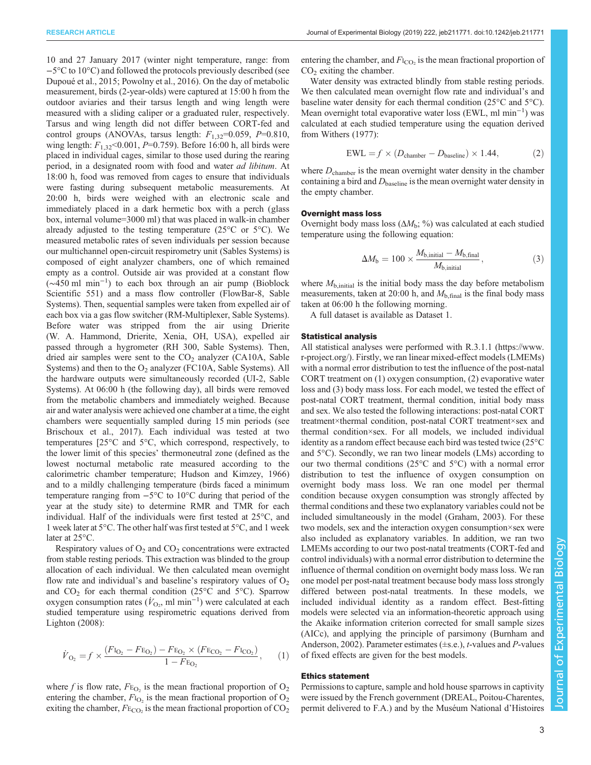RESEARCH ARTICLE **ARTICLE** ARTICLE ARTICLE **Journal of Experimental Biology (2019) 222, jeb211771. doi:10.1242/jeb.211771** 

10 and 27 January 2017 (winter night temperature, range: from −5°C to 10°C) and followed the protocols previously described (see [Dupoué et al., 2015;](#page-7-0) [Powolny et al., 2016\)](#page-8-0). On the day of metabolic measurement, birds (2-year-olds) were captured at 15:00 h from the outdoor aviaries and their tarsus length and wing length were measured with a sliding caliper or a graduated ruler, respectively. Tarsus and wing length did not differ between CORT-fed and control groups (ANOVAs, tarsus length:  $F_{1,32}=0.059$ ,  $P=0.810$ , wing length:  $F_{1,32}$ <0.001, P=0.759). Before 16:00 h, all birds were placed in individual cages, similar to those used during the rearing period, in a designated room with food and water ad libitum. At 18:00 h, food was removed from cages to ensure that individuals were fasting during subsequent metabolic measurements. At 20:00 h, birds were weighed with an electronic scale and immediately placed in a dark hermetic box with a perch (glass box, internal volume=3000 ml) that was placed in walk-in chamber already adjusted to the testing temperature (25 $\degree$ C or 5 $\degree$ C). We measured metabolic rates of seven individuals per session because our multichannel open-circuit respirometry unit (Sables Systems) is composed of eight analyzer chambers, one of which remained empty as a control. Outside air was provided at a constant flow (∼450 ml min−<sup>1</sup> ) to each box through an air pump (Bioblock Scientific 551) and a mass flow controller (FlowBar-8, Sable Systems). Then, sequential samples were taken from expelled air of each box via a gas flow switcher (RM-Multiplexer, Sable Systems). Before water was stripped from the air using Drierite (W. A. Hammond, Drierite, Xenia, OH, USA), expelled air passed through a hygrometer (RH 300, Sable Systems). Then, dried air samples were sent to the  $CO<sub>2</sub>$  analyzer (CA10A, Sable Systems) and then to the  $O_2$  analyzer (FC10A, Sable Systems). All the hardware outputs were simultaneously recorded (UI-2, Sable Systems). At 06:00 h (the following day), all birds were removed from the metabolic chambers and immediately weighed. Because air and water analysis were achieved one chamber at a time, the eight chambers were sequentially sampled during 15 min periods (see [Brischoux et al., 2017](#page-6-0)). Each individual was tested at two temperatures [25°C and 5°C, which correspond, respectively, to the lower limit of this species' thermoneutral zone (defined as the lowest nocturnal metabolic rate measured according to the calorimetric chamber temperature; [Hudson and Kimzey, 1966\)](#page-7-0) and to a mildly challenging temperature (birds faced a minimum temperature ranging from −5°C to 10°C during that period of the year at the study site) to determine RMR and TMR for each individual. Half of the individuals were first tested at 25°C, and 1 week later at 5°C. The other half was first tested at 5°C, and 1 week later at 25°C.

Respiratory values of  $O_2$  and  $CO_2$  concentrations were extracted from stable resting periods. This extraction was blinded to the group allocation of each individual. We then calculated mean overnight flow rate and individual's and baseline's respiratory values of  $O<sub>2</sub>$ and  $CO<sub>2</sub>$  for each thermal condition (25 $\degree$ C and 5 $\degree$ C). Sparrow oxygen consumption rates ( $\dot{V}_{\text{O}_2}$ , ml min<sup>-1</sup>) were calculated at each studied temperature using respirometric equations derived from [Lighton \(2008\):](#page-7-0)

$$
\dot{V}_{\text{O}_2} = f \times \frac{(F_{\text{I}_{\text{O}_2}} - F_{\text{E}_{\text{O}_2}}) - F_{\text{E}_{\text{O}_2}} \times (F_{\text{E}_{\text{CO}_2}} - F_{\text{I}_{\text{CO}_2}})}{1 - F_{\text{E}_{\text{O}_2}}},\qquad(1)
$$

where f is flow rate,  $F_{\text{E}_{\text{O}_2}}$  is the mean fractional proportion of  $\text{O}_2$ entering the chamber,  $F_{\text{IO}_2}$  is the mean fractional proportion of  $\text{O}_2$ exiting the chamber,  $F_{\text{ECO}_2}$  is the mean fractional proportion of  $\text{CO}_2$  entering the chamber, and  $F_{\text{ICO}}$  is the mean fractional proportion of  $CO<sub>2</sub>$  exiting the chamber.

Water density was extracted blindly from stable resting periods. We then calculated mean overnight flow rate and individual's and baseline water density for each thermal condition (25°C and 5°C). Mean overnight total evaporative water loss (EWL, ml min−<sup>1</sup> ) was calculated at each studied temperature using the equation derived from [Withers \(1977\):](#page-8-0)

$$
EWL = f \times (D_{\text{chamber}} - D_{\text{baseline}}) \times 1.44, \tag{2}
$$

where  $D_{\text{chamber}}$  is the mean overnight water density in the chamber containing a bird and  $D_{\text{baseline}}$  is the mean overnight water density in the empty chamber.

## Overnight mass loss

Overnight body mass loss  $(\Delta M_b; \% )$  was calculated at each studied temperature using the following equation:

$$
\Delta M_{\rm b} = 100 \times \frac{M_{\rm b, initial} - M_{\rm b, final}}{M_{\rm b, initial}},
$$
\n(3)

where  $M_{\text{b},\text{initial}}$  is the initial body mass the day before metabolism measurements, taken at 20:00 h, and  $M_{\rm b, final}$  is the final body mass taken at 06:00 h the following morning.

A full dataset is available as [Dataset 1](http://jeb.biologists.org/lookup/doi/10.1242/jeb.211771.supplemental).

## Statistical analysis

All statistical analyses were performed with R.3.1.1 [\(https://www.](https://www.r-project.org/) [r-project.org/\)](https://www.r-project.org/). Firstly, we ran linear mixed-effect models (LMEMs) with a normal error distribution to test the influence of the post-natal CORT treatment on (1) oxygen consumption, (2) evaporative water loss and (3) body mass loss. For each model, we tested the effect of post-natal CORT treatment, thermal condition, initial body mass and sex. We also tested the following interactions: post-natal CORT treatment×thermal condition, post-natal CORT treatment×sex and thermal condition×sex. For all models, we included individual identity as a random effect because each bird was tested twice (25°C and 5°C). Secondly, we ran two linear models (LMs) according to our two thermal conditions (25°C and 5°C) with a normal error distribution to test the influence of oxygen consumption on overnight body mass loss. We ran one model per thermal condition because oxygen consumption was strongly affected by thermal conditions and these two explanatory variables could not be included simultaneously in the model [\(Graham, 2003](#page-7-0)). For these two models, sex and the interaction oxygen consumption×sex were also included as explanatory variables. In addition, we ran two LMEMs according to our two post-natal treatments (CORT-fed and control individuals) with a normal error distribution to determine the influence of thermal condition on overnight body mass loss. We ran one model per post-natal treatment because body mass loss strongly differed between post-natal treatments. In these models, we included individual identity as a random effect. Best-fitting models were selected via an information-theoretic approach using the Akaike information criterion corrected for small sample sizes (AICc), and applying the principle of parsimony [\(Burnham and](#page-6-0) [Anderson, 2002](#page-6-0)). Parameter estimates (±s.e.), t-values and P-values of fixed effects are given for the best models.

## Ethics statement

Permissions to capture, sample and hold house sparrows in captivity were issued by the French government (DREAL, Poitou-Charentes, permit delivered to F.A.) and by the Muséum National d'Histoires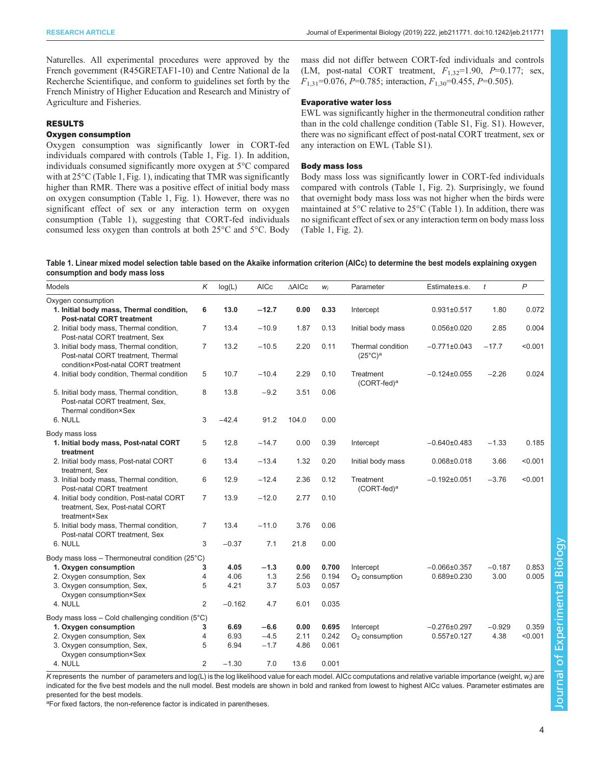<span id="page-3-0"></span>Naturelles. All experimental procedures were approved by the French government (R45GRETAF1-10) and Centre National de la Recherche Scientifique, and conform to guidelines set forth by the French Ministry of Higher Education and Research and Ministry of Agriculture and Fisheries.

# RESULTS

# Oxygen consumption

Oxygen consumption was significantly lower in CORT-fed individuals compared with controls (Table 1, [Fig. 1](#page-4-0)). In addition, individuals consumed significantly more oxygen at 5°C compared with at 25°C (Table 1, [Fig. 1\)](#page-4-0), indicating that TMR was significantly higher than RMR. There was a positive effect of initial body mass on oxygen consumption (Table 1, [Fig. 1\)](#page-4-0). However, there was no significant effect of sex or any interaction term on oxygen consumption (Table 1), suggesting that CORT-fed individuals consumed less oxygen than controls at both 25°C and 5°C. Body

mass did not differ between CORT-fed individuals and controls (LM, post-natal CORT treatment,  $F_{1,32}$ =1.90, P=0.177; sex,  $F_{1,31}$ =0.076, P=0.785; interaction,  $F_{1,30}$ =0.455, P=0.505).

## Evaporative water loss

EWL was significantly higher in the thermoneutral condition rather than in the cold challenge condition [\(Table S1](http://jeb.biologists.org/lookup/doi/10.1242/jeb.211771.supplemental), [Fig. S1\)](http://jeb.biologists.org/lookup/doi/10.1242/jeb.211771.supplemental). However, there was no significant effect of post-natal CORT treatment, sex or any interaction on EWL [\(Table S1\)](http://jeb.biologists.org/lookup/doi/10.1242/jeb.211771.supplemental).

#### Body mass loss

Body mass loss was significantly lower in CORT-fed individuals compared with controls (Table 1, [Fig. 2\)](#page-4-0). Surprisingly, we found that overnight body mass loss was not higher when the birds were maintained at 5°C relative to 25°C (Table 1). In addition, there was no significant effect of sex or any interaction term on body mass loss (Table 1, [Fig. 2](#page-4-0)).

| Table 1. Linear mixed model selection table based on the Akaike information criterion (AICc) to determine the best models explaining oxygen |  |  |
|---------------------------------------------------------------------------------------------------------------------------------------------|--|--|
| consumption and body mass loss                                                                                                              |  |  |

| <b>Models</b>                                                                                                         | Κ              | log(L)   | <b>AICc</b> | $\Delta\textsf{AICc}$ | $W_i$ | Parameter                                | Estimate±s.e.      | $\mathfrak{t}$ | $\mathsf{P}$ |
|-----------------------------------------------------------------------------------------------------------------------|----------------|----------|-------------|-----------------------|-------|------------------------------------------|--------------------|----------------|--------------|
| Oxygen consumption                                                                                                    |                |          |             |                       |       |                                          |                    |                |              |
| 1. Initial body mass, Thermal condition,                                                                              | 6              | 13.0     | $-12.7$     | 0.00                  | 0.33  | Intercept                                | $0.931 \pm 0.517$  | 1.80           | 0.072        |
| <b>Post-natal CORT treatment</b>                                                                                      |                |          |             |                       |       |                                          |                    |                |              |
| 2. Initial body mass, Thermal condition,<br>Post-natal CORT treatment, Sex                                            | $\overline{7}$ | 13.4     | $-10.9$     | 1.87                  | 0.13  | Initial body mass                        | $0.056 \pm 0.020$  | 2.85           | 0.004        |
| 3. Initial body mass, Thermal condition,<br>Post-natal CORT treatment, Thermal<br>condition×Post-natal CORT treatment | $\overline{7}$ | 13.2     | $-10.5$     | 2.20                  | 0.11  | Thermal condition<br>$(25^{\circ}C)^{a}$ | $-0.771\pm0.043$   | $-17.7$        | < 0.001      |
| 4. Initial body condition, Thermal condition                                                                          | 5              | 10.7     | $-10.4$     | 2.29                  | 0.10  | Treatment<br>(CORT-fed) <sup>a</sup>     | $-0.124\pm0.055$   | $-2.26$        | 0.024        |
| 5. Initial body mass, Thermal condition,<br>Post-natal CORT treatment. Sex.<br>Thermal condition×Sex                  | 8              | 13.8     | $-9.2$      | 3.51                  | 0.06  |                                          |                    |                |              |
| 6. NULL                                                                                                               | 3              | $-42.4$  | 91.2        | 104.0                 | 0.00  |                                          |                    |                |              |
| Body mass loss                                                                                                        |                |          |             |                       |       |                                          |                    |                |              |
| 1. Initial body mass, Post-natal CORT<br>treatment                                                                    | 5              | 12.8     | $-14.7$     | 0.00                  | 0.39  | Intercept                                | $-0.640\pm0.483$   | $-1.33$        | 0.185        |
| 2. Initial body mass, Post-natal CORT<br>treatment, Sex                                                               | 6              | 13.4     | $-13.4$     | 1.32                  | 0.20  | Initial body mass                        | $0.068 \pm 0.018$  | 3.66           | < 0.001      |
| 3. Initial body mass, Thermal condition,<br>Post-natal CORT treatment                                                 | 6              | 12.9     | $-12.4$     | 2.36                  | 0.12  | Treatment<br>(CORT-fed) <sup>a</sup>     | $-0.192\pm0.051$   | $-3.76$        | < 0.001      |
| 4. Initial body condition, Post-natal CORT<br>treatment, Sex, Post-natal CORT<br>treatment×Sex                        | 7              | 13.9     | $-12.0$     | 2.77                  | 0.10  |                                          |                    |                |              |
| 5. Initial body mass, Thermal condition,<br>Post-natal CORT treatment, Sex                                            | $\overline{7}$ | 13.4     | $-11.0$     | 3.76                  | 0.06  |                                          |                    |                |              |
| 6. NULL                                                                                                               | 3              | $-0.37$  | 7.1         | 21.8                  | 0.00  |                                          |                    |                |              |
| Body mass loss - Thermoneutral condition (25°C)                                                                       |                |          |             |                       |       |                                          |                    |                |              |
| 1. Oxygen consumption                                                                                                 | 3              | 4.05     | $-1.3$      | 0.00                  | 0.700 | Intercept                                | $-0.066 \pm 0.357$ | $-0.187$       | 0.853        |
| 2. Oxygen consumption, Sex                                                                                            | 4              | 4.06     | 1.3         | 2.56                  | 0.194 | $O2$ consumption                         | $0.689 \pm 0.230$  | 3.00           | 0.005        |
| 3. Oxygen consumption, Sex,                                                                                           | 5              | 4.21     | 3.7         | 5.03                  | 0.057 |                                          |                    |                |              |
| Oxygen consumption×Sex                                                                                                |                |          |             |                       |       |                                          |                    |                |              |
| 4. NULL                                                                                                               | 2              | $-0.162$ | 4.7         | 6.01                  | 0.035 |                                          |                    |                |              |
| Body mass loss $-$ Cold challenging condition (5 $^{\circ}$ C)                                                        |                |          |             |                       |       |                                          |                    |                |              |
| 1. Oxygen consumption                                                                                                 | 3              | 6.69     | $-6.6$      | 0.00                  | 0.695 | Intercept                                | $-0.276 \pm 0.297$ | $-0.929$       | 0.359        |
| 2. Oxygen consumption, Sex                                                                                            | 4              | 6.93     | $-4.5$      | 2.11                  | 0.242 | $O2$ consumption                         | $0.557 \pm 0.127$  | 4.38           | < 0.001      |
| 3. Oxygen consumption, Sex,                                                                                           | 5              | 6.94     | $-1.7$      | 4.86                  | 0.061 |                                          |                    |                |              |
| Oxygen consumption×Sex                                                                                                |                |          |             |                       |       |                                          |                    |                |              |
| 4. NULL                                                                                                               | $\overline{2}$ | $-1.30$  | 7.0         | 13.6                  | 0.001 |                                          |                    |                |              |

K represents the number of parameters and log(L) is the log likelihood value for each model. AICc computations and relative variable importance (weight, w<sub>i</sub>) are indicated for the five best models and the null model. Best models are shown in bold and ranked from lowest to highest AICc values. Parameter estimates are presented for the best models.

<sup>a</sup>For fixed factors, the non-reference factor is indicated in parentheses.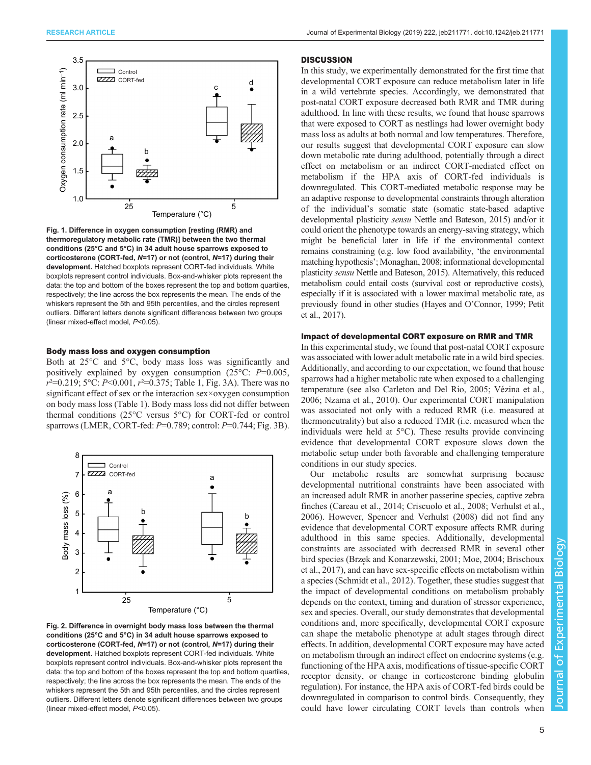<span id="page-4-0"></span>

Fig. 1. Difference in oxygen consumption [resting (RMR) and thermoregulatory metabolic rate (TMR)] between the two thermal conditions (25°C and 5°C) in 34 adult house sparrows exposed to corticosterone (CORT-fed, N=17) or not (control, N=17) during their development. Hatched boxplots represent CORT-fed individuals. White boxplots represent control individuals. Box-and-whisker plots represent the data: the top and bottom of the boxes represent the top and bottom quartiles, respectively; the line across the box represents the mean. The ends of the whiskers represent the 5th and 95th percentiles, and the circles represent outliers. Different letters denote significant differences between two groups (linear mixed-effect model, P<0.05).

### Body mass loss and oxygen consumption

Both at 25°C and 5°C, body mass loss was significantly and positively explained by oxygen consumption (25 $^{\circ}$ C: P=0.005,  $r^2$ =0.219; 5°C: P<0.001,  $r^2$ =0.375; [Table 1,](#page-3-0) [Fig. 3A](#page-5-0)). There was no significant effect of sex or the interaction sex×oxygen consumption on body mass loss ([Table 1\)](#page-3-0). Body mass loss did not differ between thermal conditions (25°C versus 5°C) for CORT-fed or control sparrows (LMER, CORT-fed: P=0.789; control: P=0.744; [Fig. 3](#page-5-0)B).



Fig. 2. Difference in overnight body mass loss between the thermal conditions (25°C and 5°C) in 34 adult house sparrows exposed to corticosterone (CORT-fed, N=17) or not (control, N=17) during their development. Hatched boxplots represent CORT-fed individuals. White boxplots represent control individuals. Box-and-whisker plots represent the data: the top and bottom of the boxes represent the top and bottom quartiles, respectively; the line across the box represents the mean. The ends of the whiskers represent the 5th and 95th percentiles, and the circles represent outliers. Different letters denote significant differences between two groups (linear mixed-effect model, P<0.05).

#### **DISCUSSION**

In this study, we experimentally demonstrated for the first time that developmental CORT exposure can reduce metabolism later in life in a wild vertebrate species. Accordingly, we demonstrated that post-natal CORT exposure decreased both RMR and TMR during adulthood. In line with these results, we found that house sparrows that were exposed to CORT as nestlings had lower overnight body mass loss as adults at both normal and low temperatures. Therefore, our results suggest that developmental CORT exposure can slow down metabolic rate during adulthood, potentially through a direct effect on metabolism or an indirect CORT-mediated effect on metabolism if the HPA axis of CORT-fed individuals is downregulated. This CORT-mediated metabolic response may be an adaptive response to developmental constraints through alteration of the individual's somatic state (somatic state-based adaptive developmental plasticity sensu [Nettle and Bateson, 2015\)](#page-8-0) and/or it could orient the phenotype towards an energy-saving strategy, which might be beneficial later in life if the environmental context remains constraining (e.g. low food availability, 'the environmental matching hypothesis'; [Monaghan, 2008](#page-7-0); informational developmental plasticity sensu [Nettle and Bateson, 2015](#page-8-0)). Alternatively, this reduced metabolism could entail costs (survival cost or reproductive costs), especially if it is associated with a lower maximal metabolic rate, as previously found in other studies (Hayes and O'[Connor, 1999](#page-7-0); [Petit](#page-8-0) [et al., 2017](#page-8-0)).

## Impact of developmental CORT exposure on RMR and TMR

In this experimental study, we found that post-natal CORT exposure was associated with lower adult metabolic rate in a wild bird species. Additionally, and according to our expectation, we found that house sparrows had a higher metabolic rate when exposed to a challenging temperature (see also [Carleton and Del Rio, 2005;](#page-7-0) [Vézina et al.,](#page-8-0) [2006; Nzama et al., 2010](#page-8-0)). Our experimental CORT manipulation was associated not only with a reduced RMR (i.e. measured at thermoneutrality) but also a reduced TMR (i.e. measured when the individuals were held at 5°C). These results provide convincing evidence that developmental CORT exposure slows down the metabolic setup under both favorable and challenging temperature conditions in our study species.

Our metabolic results are somewhat surprising because developmental nutritional constraints have been associated with an increased adult RMR in another passerine species, captive zebra finches ([Careau et al., 2014](#page-7-0); [Criscuolo et al., 2008](#page-7-0); [Verhulst et al.,](#page-8-0) [2006\)](#page-8-0). However, [Spencer and Verhulst \(2008\)](#page-8-0) did not find any evidence that developmental CORT exposure affects RMR during adulthood in this same species. Additionally, developmental constraints are associated with decreased RMR in several other bird species (Brzę [k and Konarzewski, 2001;](#page-6-0) [Moe, 2004](#page-7-0); [Brischoux](#page-6-0) [et al., 2017\)](#page-6-0), and can have sex-specific effects on metabolism within a species [\(Schmidt et al., 2012](#page-8-0)). Together, these studies suggest that the impact of developmental conditions on metabolism probably depends on the context, timing and duration of stressor experience, sex and species. Overall, our study demonstrates that developmental conditions and, more specifically, developmental CORT exposure can shape the metabolic phenotype at adult stages through direct effects. In addition, developmental CORT exposure may have acted on metabolism through an indirect effect on endocrine systems (e.g. functioning of the HPA axis, modifications of tissue-specific CORT receptor density, or change in corticosterone binding globulin regulation). For instance, the HPA axis of CORT-fed birds could be downregulated in comparison to control birds. Consequently, they could have lower circulating CORT levels than controls when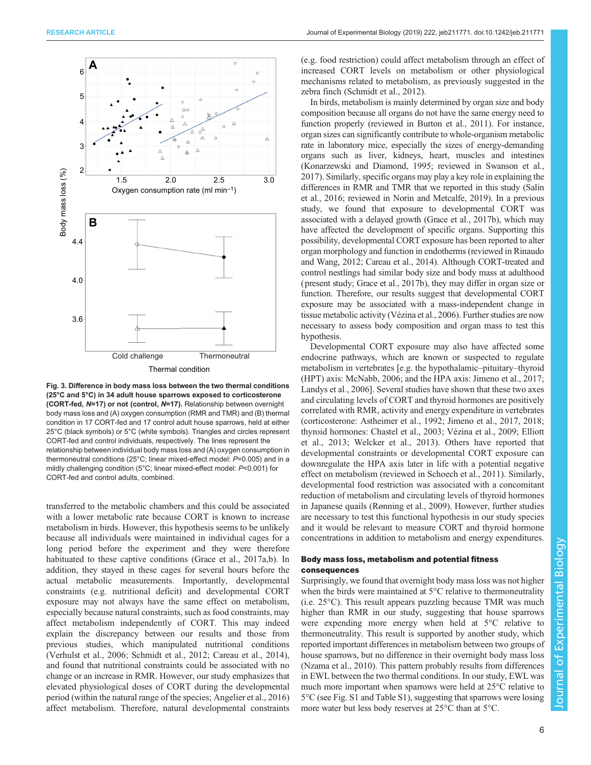<span id="page-5-0"></span>

Thermal condition



transferred to the metabolic chambers and this could be associated with a lower metabolic rate because CORT is known to increase metabolism in birds. However, this hypothesis seems to be unlikely because all individuals were maintained in individual cages for a long period before the experiment and they were therefore habituated to these captive conditions [\(Grace et al., 2017a,b](#page-7-0)). In addition, they stayed in these cages for several hours before the actual metabolic measurements. Importantly, developmental constraints (e.g. nutritional deficit) and developmental CORT exposure may not always have the same effect on metabolism, especially because natural constraints, such as food constraints, may affect metabolism independently of CORT. This may indeed explain the discrepancy between our results and those from previous studies, which manipulated nutritional conditions [\(Verhulst et al., 2006](#page-8-0); [Schmidt et al., 2012;](#page-8-0) [Careau et al., 2014\)](#page-7-0), and found that nutritional constraints could be associated with no change or an increase in RMR. However, our study emphasizes that elevated physiological doses of CORT during the developmental period (within the natural range of the species; [Angelier et al., 2016\)](#page-6-0) affect metabolism. Therefore, natural developmental constraints

(e.g. food restriction) could affect metabolism through an effect of increased CORT levels on metabolism or other physiological mechanisms related to metabolism, as previously suggested in the zebra finch ([Schmidt et al., 2012](#page-8-0)).

In birds, metabolism is mainly determined by organ size and body composition because all organs do not have the same energy need to function properly (reviewed in [Burton et al., 2011](#page-7-0)). For instance, organ sizes can significantly contribute to whole-organism metabolic rate in laboratory mice, especially the sizes of energy-demanding organs such as liver, kidneys, heart, muscles and intestines [\(Konarzewski and Diamond, 1995;](#page-7-0) reviewed in [Swanson et al.,](#page-8-0) [2017\)](#page-8-0). Similarly, specific organs may play a key role in explaining the differences in RMR and TMR that we reported in this study [\(Salin](#page-8-0) [et al., 2016;](#page-8-0) reviewed in [Norin and Metcalfe, 2019\)](#page-8-0). In a previous study, we found that exposure to developmental CORT was associated with a delayed growth [\(Grace et al., 2017b](#page-7-0)), which may have affected the development of specific organs. Supporting this possibility, developmental CORT exposure has been reported to alter organ morphology and function in endotherms (reviewed in [Rinaudo](#page-8-0) [and Wang, 2012;](#page-8-0) [Careau et al., 2014\)](#page-7-0). Although CORT-treated and control nestlings had similar body size and body mass at adulthood ( present study; [Grace et al., 2017b\)](#page-7-0), they may differ in organ size or function. Therefore, our results suggest that developmental CORT exposure may be associated with a mass-independent change in tissue metabolic activity ([Vézina et al., 2006\)](#page-8-0). Further studies are now necessary to assess body composition and organ mass to test this hypothesis.

Developmental CORT exposure may also have affected some endocrine pathways, which are known or suspected to regulate metabolism in vertebrates [e.g. the hypothalamic–pituitary–thyroid (HPT) axis: [McNabb, 2006;](#page-7-0) and the HPA axis: [Jimeno et al., 2017](#page-7-0); [Landys et al., 2006\]](#page-7-0). Several studies have shown that these two axes and circulating levels of CORT and thyroid hormones are positively correlated with RMR, activity and energy expenditure in vertebrates (corticosterone: [Astheimer et al., 1992](#page-6-0); [Jimeno et al., 2017](#page-7-0), [2018](#page-7-0); thyroid hormones: [Chastel et al., 2003;](#page-7-0) [Vézina et al., 2009](#page-8-0); [Elliott](#page-7-0) [et al., 2013](#page-7-0); [Welcker et al., 2013\)](#page-8-0). Others have reported that developmental constraints or developmental CORT exposure can downregulate the HPA axis later in life with a potential negative effect on metabolism (reviewed in [Schoech et al., 2011](#page-8-0)). Similarly, developmental food restriction was associated with a concomitant reduction of metabolism and circulating levels of thyroid hormones in Japanese quails ([Rønning et al., 2009](#page-8-0)). However, further studies are necessary to test this functional hypothesis in our study species and it would be relevant to measure CORT and thyroid hormone concentrations in addition to metabolism and energy expenditures.

## Body mass loss, metabolism and potential fitness consequences

Surprisingly, we found that overnight body mass loss was not higher when the birds were maintained at 5°C relative to thermoneutrality (i.e. 25°C). This result appears puzzling because TMR was much higher than RMR in our study, suggesting that house sparrows were expending more energy when held at 5°C relative to thermoneutrality. This result is supported by another study, which reported important differences in metabolism between two groups of house sparrows, but no difference in their overnight body mass loss [\(Nzama et al., 2010\)](#page-8-0). This pattern probably results from differences in EWL between the two thermal conditions. In our study, EWL was much more important when sparrows were held at 25°C relative to 5°C (see [Fig. S1](http://jeb.biologists.org/lookup/doi/10.1242/jeb.211771.supplemental) and [Table S1](http://jeb.biologists.org/lookup/doi/10.1242/jeb.211771.supplemental)), suggesting that sparrows were losing more water but less body reserves at 25°C than at 5°C.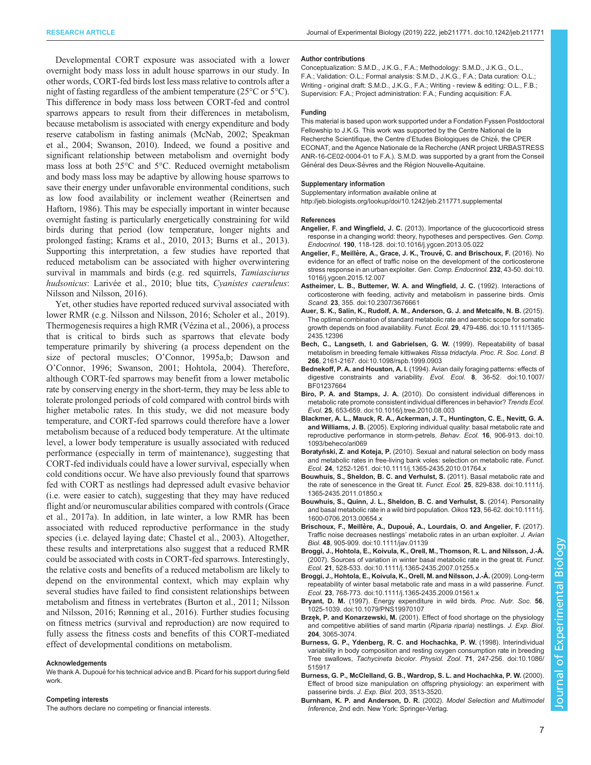<span id="page-6-0"></span>Developmental CORT exposure was associated with a lower overnight body mass loss in adult house sparrows in our study. In other words, CORT-fed birds lost less mass relative to controls after a night of fasting regardless of the ambient temperature (25°C or 5°C). This difference in body mass loss between CORT-fed and control sparrows appears to result from their differences in metabolism, because metabolism is associated with energy expenditure and body reserve catabolism in fasting animals ([McNab, 2002](#page-7-0); [Speakman](#page-8-0) [et al., 2004; Swanson, 2010\)](#page-8-0). Indeed, we found a positive and significant relationship between metabolism and overnight body mass loss at both 25°C and 5°C. Reduced overnight metabolism and body mass loss may be adaptive by allowing house sparrows to save their energy under unfavorable environmental conditions, such as low food availability or inclement weather ([Reinertsen and](#page-8-0) [Haftorn, 1986](#page-8-0)). This may be especially important in winter because overnight fasting is particularly energetically constraining for wild birds during that period (low temperature, longer nights and prolonged fasting; [Krams et al., 2010](#page-7-0), [2013](#page-7-0); [Burns et al., 2013\)](#page-7-0). Supporting this interpretation, a few studies have reported that reduced metabolism can be associated with higher overwintering survival in mammals and birds (e.g. red squirrels, Tamiasciurus hudsonicus: [Larivée et al., 2010](#page-7-0); blue tits, Cyanistes caeruleus: [Nilsson and Nilsson, 2016\)](#page-8-0).

Yet, other studies have reported reduced survival associated with lower RMR (e.g. [Nilsson and Nilsson, 2016; Scholer et al., 2019\)](#page-8-0). Thermogenesis requires a high RMR ([Vézina et al., 2006\)](#page-8-0), a process that is critical to birds such as sparrows that elevate body temperature primarily by shivering (a process dependent on the size of pectoral muscles; O'[Connor, 1995a,b;](#page-8-0) [Dawson and](#page-7-0) O'[Connor, 1996](#page-7-0); [Swanson, 2001](#page-8-0); [Hohtola, 2004\)](#page-7-0). Therefore, although CORT-fed sparrows may benefit from a lower metabolic rate by conserving energy in the short-term, they may be less able to tolerate prolonged periods of cold compared with control birds with higher metabolic rates. In this study, we did not measure body temperature, and CORT-fed sparrows could therefore have a lower metabolism because of a reduced body temperature. At the ultimate level, a lower body temperature is usually associated with reduced performance (especially in term of maintenance), suggesting that CORT-fed individuals could have a lower survival, especially when cold conditions occur. We have also previously found that sparrows fed with CORT as nestlings had depressed adult evasive behavior (i.e. were easier to catch), suggesting that they may have reduced flight and/or neuromuscular abilities compared with controls ([Grace](#page-7-0) [et al., 2017a](#page-7-0)). In addition, in late winter, a low RMR has been associated with reduced reproductive performance in the study species (i.e. delayed laying date; [Chastel et al., 2003\)](#page-7-0). Altogether, these results and interpretations also suggest that a reduced RMR could be associated with costs in CORT-fed sparrows. Interestingly, the relative costs and benefits of a reduced metabolism are likely to depend on the environmental context, which may explain why several studies have failed to find consistent relationships between metabolism and fitness in vertebrates [\(Burton et al., 2011;](#page-7-0) [Nilsson](#page-8-0) [and Nilsson, 2016](#page-8-0); [Rønning et al., 2016\)](#page-8-0). Further studies focusing on fitness metrics (survival and reproduction) are now required to fully assess the fitness costs and benefits of this CORT-mediated effect of developmental conditions on metabolism.

#### Acknowledgements

We thank A. Dupoué for his technical advice and B. Picard for his support during field work.

#### Competing interests

The authors declare no competing or financial interests.

#### Author contributions

Conceptualization: S.M.D., J.K.G., F.A.; Methodology: S.M.D., J.K.G., O.L., F.A.; Validation: O.L.; Formal analysis: S.M.D., J.K.G., F.A.; Data curation: O.L.; Writing - original draft: S.M.D., J.K.G., F.A.; Writing - review & editing: O.L., F.B.; Supervision: F.A.; Project administration: F.A.; Funding acquisition: F.A.

#### Funding

This material is based upon work supported under a Fondation Fyssen Postdoctoral Fellowship to J.K.G. This work was supported by the Centre National de la Recherche Scientifique, the Centre d'Etudes Biologiques de Chizé, the CPER ECONAT, and the Agence Nationale de la Recherche (ANR project URBASTRESS ANR-16-CE02-0004-01 to F.A.). S.M.D. was supported by a grant from the Conseil Général des Deux-Sèvres and the Région Nouvelle-Aquitaine.

#### Supplementary information

Supplementary information available online at <http://jeb.biologists.org/lookup/doi/10.1242/jeb.211771.supplemental>

#### References

- Angelier, F. and Wingfield, J. C. [\(2013\). Importance of the glucocorticoid stress](https://doi.org/10.1016/j.ygcen.2013.05.022) [response in a changing world: theory, hypotheses and perspectives.](https://doi.org/10.1016/j.ygcen.2013.05.022) Gen. Comp. Endocrinol. 190[, 118-128. doi:10.1016/j.ygcen.2013.05.022](https://doi.org/10.1016/j.ygcen.2013.05.022)
- Angelier, F., Meillère, A., Grace, J. K., Trouvé, C. and Brischoux, F. (2016). No [evidence for an effect of traffic noise on the development of the corticosterone](https://doi.org/10.1016/j.ygcen.2015.12.007) [stress response in an urban exploiter.](https://doi.org/10.1016/j.ygcen.2015.12.007) Gen. Comp. Endocrinol. 232, 43-50. doi:10. [1016/j.ygcen.2015.12.007](https://doi.org/10.1016/j.ygcen.2015.12.007)
- [Astheimer, L. B., Buttemer, W. A. and Wingfield, J. C.](https://doi.org/10.2307/3676661) (1992). Interactions of [corticosterone with feeding, activity and metabolism in passerine birds.](https://doi.org/10.2307/3676661) Ornis Scand. 23[, 355. doi:10.2307/3676661](https://doi.org/10.2307/3676661)
- [Auer, S. K., Salin, K., Rudolf, A. M., Anderson, G. J. and Metcalfe, N. B.](https://doi.org/10.1111/1365-2435.12396) (2015). [The optimal combination of standard metabolic rate and aerobic scope for somatic](https://doi.org/10.1111/1365-2435.12396) [growth depends on food availability.](https://doi.org/10.1111/1365-2435.12396) Funct. Ecol. 29, 479-486. doi:10.1111/1365-[2435.12396](https://doi.org/10.1111/1365-2435.12396)
- [Bech, C., Langseth, I. and Gabrielsen, G. W.](https://doi.org/10.1098/rspb.1999.0903) (1999). Repeatability of basal [metabolism in breeding female kittiwakes](https://doi.org/10.1098/rspb.1999.0903) Rissa tridactyla. Proc. R. Soc. Lond. B 266[, 2161-2167. doi:10.1098/rspb.1999.0903](https://doi.org/10.1098/rspb.1999.0903)
- Bednekoff, P. A. and Houston, A. I. [\(1994\). Avian daily foraging patterns: effects of](https://doi.org/10.1007/BF01237664) [digestive constraints and variability.](https://doi.org/10.1007/BF01237664) Evol. Ecol. 8, 36-52. doi:10.1007/ [BF01237664](https://doi.org/10.1007/BF01237664)
- Biro, P. A. and Stamps, J. A. [\(2010\). Do consistent individual differences in](https://doi.org/10.1016/j.tree.2010.08.003) [metabolic rate promote consistent individual differences in behavior?](https://doi.org/10.1016/j.tree.2010.08.003) Trends Ecol. Evol. 25[, 653-659. doi:10.1016/j.tree.2010.08.003](https://doi.org/10.1016/j.tree.2010.08.003)
- [Blackmer, A. L., Mauck, R. A., Ackerman, J. T., Huntington, C. E., Nevitt, G. A.](https://doi.org/10.1093/beheco/ari069) and Williams, J. B. [\(2005\). Exploring individual quality: basal metabolic rate and](https://doi.org/10.1093/beheco/ari069) [reproductive performance in storm-petrels.](https://doi.org/10.1093/beheco/ari069) Behav. Ecol. 16, 906-913. doi:10. [1093/beheco/ari069](https://doi.org/10.1093/beheco/ari069)
- Boratyński, Z. and Koteja, P. [\(2010\). Sexual and natural selection on body mass](https://doi.org/10.1111/j.1365-2435.2010.01764.x) [and metabolic rates in free-living bank voles: selection on metabolic rate.](https://doi.org/10.1111/j.1365-2435.2010.01764.x) Funct. Ecol. 24[, 1252-1261. doi:10.1111/j.1365-2435.2010.01764.x](https://doi.org/10.1111/j.1365-2435.2010.01764.x)
- [Bouwhuis, S., Sheldon, B. C. and Verhulst, S.](https://doi.org/10.1111/j.1365-2435.2011.01850.x) (2011). Basal metabolic rate and [the rate of senescence in the Great tit.](https://doi.org/10.1111/j.1365-2435.2011.01850.x) Funct. Ecol. 25, 829-838. doi:10.1111/j. [1365-2435.2011.01850.x](https://doi.org/10.1111/j.1365-2435.2011.01850.x)
- [Bouwhuis, S., Quinn, J. L., Sheldon, B. C. and Verhulst, S.](https://doi.org/10.1111/j.1600-0706.2013.00654.x) (2014). Personality [and basal metabolic rate in a wild bird population.](https://doi.org/10.1111/j.1600-0706.2013.00654.x) Oikos 123, 56-62. doi:10.1111/j. [1600-0706.2013.00654.x](https://doi.org/10.1111/j.1600-0706.2013.00654.x)
- Brischoux, F., Meillère, A., Dupoué, A., Lourdais, O. and Angelier, F. (2017). Traffic noise decreases nestlings' [metabolic rates in an urban exploiter.](https://doi.org/10.1111/jav.01139) J. Avian Biol. 48[, 905-909. doi:10.1111/jav.01139](https://doi.org/10.1111/jav.01139)
- [Broggi, J., Hohtola, E., Koivula, K., Orell, M., Thomson, R. L. and Nilsson, J.-Å.](https://doi.org/10.1111/j.1365-2435.2007.01255.x) [\(2007\). Sources of variation in winter basal metabolic rate in the great tit.](https://doi.org/10.1111/j.1365-2435.2007.01255.x) Funct. Ecol. 21[, 528-533. doi:10.1111/j.1365-2435.2007.01255.x](https://doi.org/10.1111/j.1365-2435.2007.01255.x)
- [Broggi, J., Hohtola, E., Koivula, K., Orell, M. and Nilsson, J.-Å.](https://doi.org/10.1111/j.1365-2435.2009.01561.x) (2009). Long-term [repeatability of winter basal metabolic rate and mass in a wild passerine.](https://doi.org/10.1111/j.1365-2435.2009.01561.x) Funct. Ecol. 23[, 768-773. doi:10.1111/j.1365-2435.2009.01561.x](https://doi.org/10.1111/j.1365-2435.2009.01561.x)
- Bryant, D. M. [\(1997\). Energy expenditure in wild birds.](https://doi.org/10.1079/PNS19970107) Proc. Nutr. Soc. 56, [1025-1039. doi:10.1079/PNS19970107](https://doi.org/10.1079/PNS19970107)
- Brzek, P. and Konarzewski, M. (2001). Effect of food shortage on the physiology and competitive abilities of sand martin (Riparia riparia) nestlings. J. Exp. Biol. 204, 3065-3074.
- [Burness, G. P., Ydenberg, R. C. and Hochachka, P. W.](https://doi.org/10.1086/515917) (1998). Interindividual [variability in body composition and resting oxygen consumption rate in breeding](https://doi.org/10.1086/515917) Tree swallows, Tachycineta bicolor. Physiol. Zool. 71[, 247-256. doi:10.1086/](https://doi.org/10.1086/515917) [515917](https://doi.org/10.1086/515917)
- Burness, G. P., McClelland, G. B., Wardrop, S. L. and Hochachka, P. W. (2000). Effect of brood size manipulation on offspring physiology: an experiment with passerine birds. J. Exp. Biol. 203, 3513-3520.
- Burnham, K. P. and Anderson, D. R. (2002). Model Selection and Multimodel Inference, 2nd edn. New York: Springer-Verlag.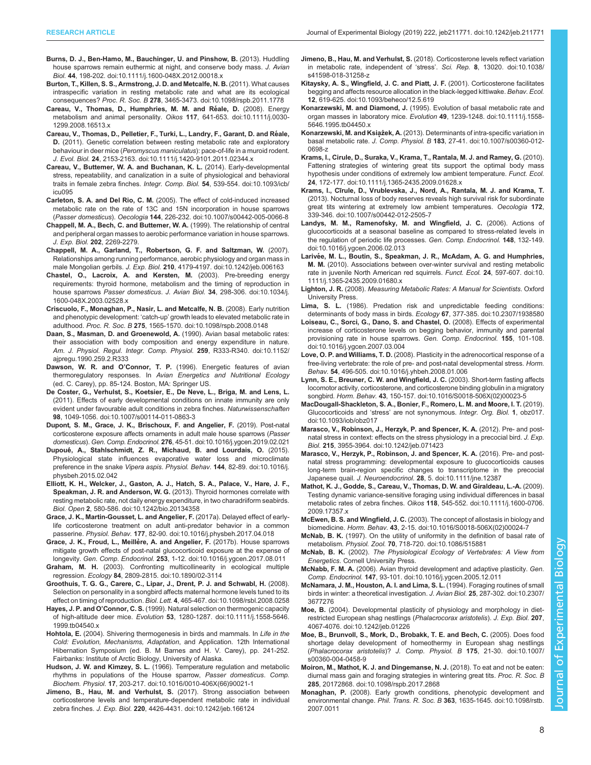- <span id="page-7-0"></span>[Burns, D. J., Ben-Hamo, M., Bauchinger, U. and Pinshow, B.](https://doi.org/10.1111/j.1600-048X.2012.00018.x) (2013). Huddling [house sparrows remain euthermic at night, and conserve body mass.](https://doi.org/10.1111/j.1600-048X.2012.00018.x) J. Avian Biol. 44[, 198-202. doi:10.1111/j.1600-048X.2012.00018.x](https://doi.org/10.1111/j.1600-048X.2012.00018.x)
- [Burton, T., Killen, S. S., Armstrong, J. D. and Metcalfe, N. B.](https://doi.org/10.1098/rspb.2011.1778) (2011). What causes [intraspecific variation in resting metabolic rate and what are its ecological](https://doi.org/10.1098/rspb.2011.1778) consequences? Proc. R. Soc. B 278[, 3465-3473. doi:10.1098/rspb.2011.1778](https://doi.org/10.1098/rspb.2011.1778)
- Careau, V., Thomas, D., Humphries, M. M. and Réale, D. (2008). Energy [metabolism and animal personality.](https://doi.org/10.1111/j.0030-1299.2008.16513.x) Oikos 117, 641-653. doi:10.1111/j.0030- [1299.2008.16513.x](https://doi.org/10.1111/j.0030-1299.2008.16513.x)
- [Careau, V., Thomas, D., Pelletier, F., Turki, L., Landry, F., Garant, D. and Re](https://doi.org/10.1111/j.1420-9101.2011.02344.x)́ale, D. [\(2011\). Genetic correlation between resting metabolic rate and exploratory](https://doi.org/10.1111/j.1420-9101.2011.02344.x) behaviour in deer mice (Peromyscus maniculatus[\): pace-of-life in a muroid rodent.](https://doi.org/10.1111/j.1420-9101.2011.02344.x) J. Evol. Biol. 24[, 2153-2163. doi:10.1111/j.1420-9101.2011.02344.x](https://doi.org/10.1111/j.1420-9101.2011.02344.x)
- [Careau, V., Buttemer, W. A. and Buchanan, K. L.](https://doi.org/10.1093/icb/icu095) (2014). Early-developmental [stress, repeatability, and canalization in a suite of physiological and behavioral](https://doi.org/10.1093/icb/icu095) [traits in female zebra finches.](https://doi.org/10.1093/icb/icu095) Integr. Comp. Biol. 54, 539-554. doi:10.1093/icb/ [icu095](https://doi.org/10.1093/icb/icu095)
- Carleton, S. A. and Del Rio, C. M. [\(2005\). The effect of cold-induced increased](https://doi.org/10.1007/s00442-005-0066-8) [metabolic rate on the rate of 13C and 15N incorporation in house sparrows](https://doi.org/10.1007/s00442-005-0066-8) (Passer domesticus). Oecologia 144[, 226-232. doi:10.1007/s00442-005-0066-8](https://doi.org/10.1007/s00442-005-0066-8)
- Chappell, M. A., Bech, C. and Buttemer, W. A. (1999). The relationship of central and peripheral organ masses to aerobic performance variation in house sparrows. J. Exp. Biol. 202, 2269-2279.
- [Chappell, M. A., Garland, T., Robertson, G. F. and Saltzman, W.](https://doi.org/10.1242/jeb.006163) (2007). [Relationships among running performance, aerobic physiology and organ mass in](https://doi.org/10.1242/jeb.006163) male Mongolian gerbils. J. Exp. Biol. 210[, 4179-4197. doi:10.1242/jeb.006163](https://doi.org/10.1242/jeb.006163)
- [Chastel, O., Lacroix, A. and Kersten, M.](https://doi.org/10.1034/j.1600-048X.2003.02528.x) (2003). Pre-breeding energy [requirements: thyroid hormone, metabolism and the timing of reproduction in](https://doi.org/10.1034/j.1600-048X.2003.02528.x) house sparrows Passer domesticus. J. Avian Biol. 34[, 298-306. doi:10.1034/j.](https://doi.org/10.1034/j.1600-048X.2003.02528.x) [1600-048X.2003.02528.x](https://doi.org/10.1034/j.1600-048X.2003.02528.x)
- [Criscuolo, F., Monaghan, P., Nasir, L. and Metcalfe, N. B.](https://doi.org/10.1098/rspb.2008.0148) (2008). Early nutrition and phenotypic development: 'catch-up' [growth leads to elevated metabolic rate in](https://doi.org/10.1098/rspb.2008.0148) adulthood. Proc. R. Soc. B 275[, 1565-1570. doi:10.1098/rspb.2008.0148](https://doi.org/10.1098/rspb.2008.0148)
- [Daan, S., Masman, D. and Groenewold, A.](https://doi.org/10.1152/ajpregu.1990.259.2.R333) (1990). Avian basal metabolic rates: [their association with body composition and energy expenditure in nature.](https://doi.org/10.1152/ajpregu.1990.259.2.R333) [Am. J. Physiol. Regul. Integr. Comp. Physiol.](https://doi.org/10.1152/ajpregu.1990.259.2.R333) 259, R333-R340. doi:10.1152/ [ajpregu.1990.259.2.R333](https://doi.org/10.1152/ajpregu.1990.259.2.R333)
- Dawson, W. R. and O'Connor, T. P. (1996). Energetic features of avian thermoregulatory responses. In Avian Energetics and Nutritional Ecology (ed. C. Carey), pp. 85-124. Boston, MA: Springer US.
- [De Coster, G., Verhulst, S., Koetsier, E., De Neve, L., Briga, M. and Lens, L.](https://doi.org/10.1007/s00114-011-0863-3) [\(2011\). Effects of early developmental conditions on innate immunity are only](https://doi.org/10.1007/s00114-011-0863-3) [evident under favourable adult conditions in zebra finches.](https://doi.org/10.1007/s00114-011-0863-3) Naturwissenschaften 98[, 1049-1056. doi:10.1007/s00114-011-0863-3](https://doi.org/10.1007/s00114-011-0863-3)
- [Dupont, S. M., Grace, J. K., Brischoux, F. and Angelier, F.](https://doi.org/10.1016/j.ygcen.2019.02.021) (2019). Post-natal [corticosterone exposure affects ornaments in adult male house sparrows \(](https://doi.org/10.1016/j.ygcen.2019.02.021)Passer domesticus). Gen. Comp. Endocrinol. 276[, 45-51. doi:10.1016/j.ygcen.2019.02.021](https://doi.org/10.1016/j.ygcen.2019.02.021)
- Dupoué[, A., Stahlschmidt, Z. R., Michaud, B. and Lourdais, O.](https://doi.org/10.1016/j.physbeh.2015.02.042) (2015). [Physiological state influences evaporative water loss and microclimate](https://doi.org/10.1016/j.physbeh.2015.02.042) [preference in the snake](https://doi.org/10.1016/j.physbeh.2015.02.042) Vipera aspis. Physiol. Behav. 144, 82-89. doi:10.1016/j. [physbeh.2015.02.042](https://doi.org/10.1016/j.physbeh.2015.02.042)
- [Elliott, K. H., Welcker, J., Gaston, A. J., Hatch, S. A., Palace, V., Hare, J. F.,](https://doi.org/10.1242/bio.20134358) [Speakman, J. R. and Anderson, W. G.](https://doi.org/10.1242/bio.20134358) (2013). Thyroid hormones correlate with [resting metabolic rate, not daily energy expenditure, in two charadriiform seabirds.](https://doi.org/10.1242/bio.20134358) Biol. Open 2[, 580-586. doi:10.1242/bio.20134358](https://doi.org/10.1242/bio.20134358)
- [Grace, J. K., Martin-Gousset, L. and Angelier, F.](https://doi.org/10.1016/j.physbeh.2017.04.018) (2017a). Delayed effect of early[life corticosterone treatment on adult anti-predator behavior in a common](https://doi.org/10.1016/j.physbeh.2017.04.018) passerine. Physiol. Behav. 177[, 82-90. doi:10.1016/j.physbeh.2017.04.018](https://doi.org/10.1016/j.physbeh.2017.04.018)
- Grace, J. K., Froud, L., Meillère, A. and Angelier, F. (2017b). House sparrows [mitigate growth effects of post-natal glucocorticoid exposure at the expense of](https://doi.org/10.1016/j.ygcen.2017.08.011) longevity. Gen. Comp. Endocrinol. 253[, 1-12. doi:10.1016/j.ygcen.2017.08.011](https://doi.org/10.1016/j.ygcen.2017.08.011)
- Graham, M. H. [\(2003\). Confronting multicollinearity in ecological multiple](https://doi.org/10.1890/02-3114) regression. Ecology 84[, 2809-2815. doi:10.1890/02-3114](https://doi.org/10.1890/02-3114)
- [Groothuis, T. G. G., Carere, C., Lipar, J., Drent, P. J. and Schwabl, H.](https://doi.org/10.1098/rsbl.2008.0258) (2008). [Selection on personality in a songbird affects maternal hormone levels tuned to its](https://doi.org/10.1098/rsbl.2008.0258) effect on timing of reproduction. Biol. Lett. 4[, 465-467. doi:10.1098/rsbl.2008.0258](https://doi.org/10.1098/rsbl.2008.0258)
- Hayes, J. P. and O'Connor, C. S. [\(1999\). Natural selection on thermogenic capacity](https://doi.org/10.1111/j.1558-5646.1999.tb04540.x) of high-altitude deer mice. Evolution 53[, 1280-1287. doi:10.1111/j.1558-5646.](https://doi.org/10.1111/j.1558-5646.1999.tb04540.x) [1999.tb04540.x](https://doi.org/10.1111/j.1558-5646.1999.tb04540.x)
- Hohtola, E. (2004). Shivering thermogenesis in birds and mammals. In Life in the Cold: Evolution, Mechanisms, Adaptation, and Application. 12th International Hibernation Symposium (ed. B. M Barnes and H. V. Carey), pp. 241-252. Fairbanks: Institute of Arctic Biology, University of Alaska.
- Hudson, J. W. and Kimzey, S. L. [\(1966\). Temperature regulation and metabolic](https://doi.org/10.1016/0010-406X(66)90021-1) [rhythms in populations of the House sparrow,](https://doi.org/10.1016/0010-406X(66)90021-1) Passer domesticus. Comp. Biochem. Physiol. 17[, 203-217. doi:10.1016/0010-406X\(66\)90021-1](https://doi.org/10.1016/0010-406X(66)90021-1)
- [Jimeno, B., Hau, M. and Verhulst, S.](https://doi.org/10.1242/jeb.166124) (2017). Strong association between [corticosterone levels and temperature-dependent metabolic rate in individual](https://doi.org/10.1242/jeb.166124) zebra finches. J. Exp. Biol. 220[, 4426-4431. doi:10.1242/jeb.166124](https://doi.org/10.1242/jeb.166124)
- Jimeno, B., Hau, M. and Verhulst, S. [\(2018\). Corticosterone levels reflect variation](https://doi.org/10.1038/s41598-018-31258-z) [in metabolic rate, independent of](https://doi.org/10.1038/s41598-018-31258-z) 'stress'. Sci. Rep. 8, 13020. doi:10.1038/ [s41598-018-31258-z](https://doi.org/10.1038/s41598-018-31258-z)
- [Kitaysky, A. S., Wingfield, J. C. and Piatt, J. F.](https://doi.org/10.1093/beheco/12.5.619) (2001). Corticosterone facilitates [begging and affects resource allocation in the black-legged kittiwake.](https://doi.org/10.1093/beheco/12.5.619) Behav. Ecol. 12[, 619-625. doi:10.1093/beheco/12.5.619](https://doi.org/10.1093/beheco/12.5.619)
- Konarzewski, M. and Diamond, J. [\(1995\). Evolution of basal metabolic rate and](https://doi.org/10.1111/j.1558-5646.1995.tb04450.x) [organ masses in laboratory mice.](https://doi.org/10.1111/j.1558-5646.1995.tb04450.x) Evolution 49, 1239-1248. doi:10.1111/j.1558-[5646.1995.tb04450.x](https://doi.org/10.1111/j.1558-5646.1995.tb04450.x)
- Konarzewski, M. and Książek, A. [\(2013\). Determinants of intra-specific variation in](https://doi.org/10.1007/s00360-012-0698-z) basal metabolic rate. J. Comp. Physiol. B 183[, 27-41. doi:10.1007/s00360-012-](https://doi.org/10.1007/s00360-012-0698-z) [0698-z](https://doi.org/10.1007/s00360-012-0698-z)
- [Krams, I., Cirule, D., Suraka, V., Krama, T., Rantala, M. J. and Ramey, G.](https://doi.org/10.1111/j.1365-2435.2009.01628.x) (2010). [Fattening strategies of wintering great tits support the optimal body mass](https://doi.org/10.1111/j.1365-2435.2009.01628.x) [hypothesis under conditions of extremely low ambient temperature.](https://doi.org/10.1111/j.1365-2435.2009.01628.x) Funct. Ecol. 24[, 172-177. doi:10.1111/j.1365-2435.2009.01628.x](https://doi.org/10.1111/j.1365-2435.2009.01628.x)
- Krams, I., Cī[rule, D., Vrublevska, J., Nord, A., Rantala, M. J. and Krama, T.](https://doi.org/10.1007/s00442-012-2505-7) [\(2013\). Nocturnal loss of body reserves reveals high survival risk for subordinate](https://doi.org/10.1007/s00442-012-2505-7) [great tits wintering at extremely low ambient temperatures.](https://doi.org/10.1007/s00442-012-2505-7) Oecologia 172, [339-346. doi:10.1007/s00442-012-2505-7](https://doi.org/10.1007/s00442-012-2505-7)
- [Landys, M. M., Ramenofsky, M. and Wingfield, J. C.](https://doi.org/10.1016/j.ygcen.2006.02.013) (2006). Actions of [glucocorticoids at a seasonal baseline as compared to stress-related levels in](https://doi.org/10.1016/j.ygcen.2006.02.013) [the regulation of periodic life processes.](https://doi.org/10.1016/j.ygcen.2006.02.013) Gen. Comp. Endocrinol. 148, 132-149. [doi:10.1016/j.ygcen.2006.02.013](https://doi.org/10.1016/j.ygcen.2006.02.013)
- Larivé[e, M. L., Boutin, S., Speakman, J. R., McAdam, A. G. and Humphries,](https://doi.org/10.1111/j.1365-2435.2009.01680.x) M. M. [\(2010\). Associations between over-winter survival and resting metabolic](https://doi.org/10.1111/j.1365-2435.2009.01680.x) [rate in juvenile North American red squirrels.](https://doi.org/10.1111/j.1365-2435.2009.01680.x) Funct. Ecol. 24, 597-607. doi:10. [1111/j.1365-2435.2009.01680.x](https://doi.org/10.1111/j.1365-2435.2009.01680.x)
- Lighton, J. R. (2008). Measuring Metabolic Rates: A Manual for Scientists. Oxford University Press.
- Lima, S. L. [\(1986\). Predation risk and unpredictable feeding conditions:](https://doi.org/10.2307/1938580) [determinants of body mass in birds.](https://doi.org/10.2307/1938580) Ecology 67, 377-385. doi:10.2307/1938580
- [Loiseau, C., Sorci, G., Dano, S. and Chastel, O.](https://doi.org/10.1016/j.ygcen.2007.03.004) (2008). Effects of experimental [increase of corticosterone levels on begging behavior, immunity and parental](https://doi.org/10.1016/j.ygcen.2007.03.004) [provisioning rate in house sparrows.](https://doi.org/10.1016/j.ygcen.2007.03.004) Gen. Comp. Endocrinol. 155, 101-108. [doi:10.1016/j.ygcen.2007.03.004](https://doi.org/10.1016/j.ygcen.2007.03.004)
- Love, O. P. and Williams, T. D. [\(2008\). Plasticity in the adrenocortical response of a](https://doi.org/10.1016/j.yhbeh.2008.01.006) [free-living vertebrate: the role of pre- and post-natal developmental stress.](https://doi.org/10.1016/j.yhbeh.2008.01.006) Horm. Behav. 54[, 496-505. doi:10.1016/j.yhbeh.2008.01.006](https://doi.org/10.1016/j.yhbeh.2008.01.006)
- [Lynn, S. E., Breuner, C. W. and Wingfield, J. C.](https://doi.org/10.1016/S0018-506X(02)00023-5) (2003). Short-term fasting affects [locomotor activity, corticosterone, and corticosterone binding globulin in a migratory](https://doi.org/10.1016/S0018-506X(02)00023-5) songbird. Horm. Behav. 43[, 150-157. doi:10.1016/S0018-506X\(02\)00023-5](https://doi.org/10.1016/S0018-506X(02)00023-5)
- [MacDougall-Shackleton, S. A., Bonier, F., Romero, L. M. and Moore, I. T.](https://doi.org/10.1093/iob/obz017) (2019). Glucocorticoids and 'stress' [are not synonymous.](https://doi.org/10.1093/iob/obz017) Integr. Org. Biol. 1, obz017. [doi:10.1093/iob/obz017](https://doi.org/10.1093/iob/obz017)
- [Marasco, V., Robinson, J., Herzyk, P. and Spencer, K. A.](https://doi.org/10.1242/jeb.071423) (2012). Pre- and post[natal stress in context: effects on the stress physiology in a precocial bird.](https://doi.org/10.1242/jeb.071423) J. Exp. Biol. 215[, 3955-3964. doi:10.1242/jeb.071423](https://doi.org/10.1242/jeb.071423)
- [Marasco, V., Herzyk, P., Robinson, J. and Spencer, K. A.](https://doi.org/10.1111/jne.12387) (2016). Pre- and post[natal stress programming: developmental exposure to glucocorticoids causes](https://doi.org/10.1111/jne.12387) [long-term brain-region specific changes to transcriptome in the precocial](https://doi.org/10.1111/jne.12387) Japanese quail. J. Neuroendocrinol. 28[, 5. doi:10.1111/jne.12387](https://doi.org/10.1111/jne.12387)
- [Mathot, K. J., Godde, S., Careau, V., Thomas, D. W. and Giraldeau, L.-A.](https://doi.org/10.1111/j.1600-0706.2009.17357.x) (2009). [Testing dynamic variance-sensitive foraging using individual differences in basal](https://doi.org/10.1111/j.1600-0706.2009.17357.x) metabolic rates of zebra finches. Oikos 118[, 545-552. doi:10.1111/j.1600-0706.](https://doi.org/10.1111/j.1600-0706.2009.17357.x) [2009.17357.x](https://doi.org/10.1111/j.1600-0706.2009.17357.x)
- McEwen, B. S. and Wingfield, J. C. [\(2003\). The concept of allostasis in biology and](https://doi.org/10.1016/S0018-506X(02)00024-7) biomedicine. Horm. Behav. 43[, 2-15. doi:10.1016/S0018-506X\(02\)00024-7](https://doi.org/10.1016/S0018-506X(02)00024-7)
- McNab, B. K. [\(1997\). On the utility of uniformity in the definition of basal rate of](https://doi.org/10.1086/515881) metabolism. Physiol. Zool. 70[, 718-720. doi:10.1086/515881](https://doi.org/10.1086/515881)
- McNab, B. K. (2002). The Physiological Ecology of Vertebrates: A View from Energetics. Cornell University Press.
- McNabb, F. M. A. [\(2006\). Avian thyroid development and adaptive plasticity.](https://doi.org/10.1016/j.ygcen.2005.12.011) Gen. Comp. Endocrinol. 147[, 93-101. doi:10.1016/j.ygcen.2005.12.011](https://doi.org/10.1016/j.ygcen.2005.12.011)
- [McNamara, J. M., Houston, A. I. and Lima, S. L.](https://doi.org/10.2307/3677276) (1994). Foraging routines of small [birds in winter: a theoretical investigation.](https://doi.org/10.2307/3677276) J. Avian Biol. 25, 287-302. doi:10.2307/ [3677276](https://doi.org/10.2307/3677276)
- Moe, B. [\(2004\). Developmental plasticity of physiology and morphology in diet](https://doi.org/10.1242/jeb.01226)[restricted European shag nestlings \(](https://doi.org/10.1242/jeb.01226)Phalacrocorax aristotelis). J. Exp. Biol. 207, [4067-4076. doi:10.1242/jeb.01226](https://doi.org/10.1242/jeb.01226)
- [Moe, B., Brunvoll, S., Mork, D., Brobakk, T. E. and Bech, C.](https://doi.org/10.1007/s00360-004-0458-9) (2005). Does food [shortage delay development of homeothermy in European shag nestlings](https://doi.org/10.1007/s00360-004-0458-9) ([Phalacrocorax aristotelis](https://doi.org/10.1007/s00360-004-0458-9))? J. Comp. Physiol. B 175, 21-30. doi:10.1007/ [s00360-004-0458-9](https://doi.org/10.1007/s00360-004-0458-9)
- [Moiron, M., Mathot, K. J. and Dingemanse, N. J.](https://doi.org/10.1098/rspb.2017.2868) (2018). To eat and not be eaten: [diurnal mass gain and foraging strategies in wintering great tits.](https://doi.org/10.1098/rspb.2017.2868) Proc. R. Soc. B 285[, 20172868. doi:10.1098/rspb.2017.2868](https://doi.org/10.1098/rspb.2017.2868)
- Monaghan, P. [\(2008\). Early growth conditions, phenotypic development and](https://doi.org/10.1098/rstb.2007.0011) environmental change. Phil. Trans. R. Soc. B 363[, 1635-1645. doi:10.1098/rstb.](https://doi.org/10.1098/rstb.2007.0011) [2007.0011](https://doi.org/10.1098/rstb.2007.0011)

Biology

Experimental

ō